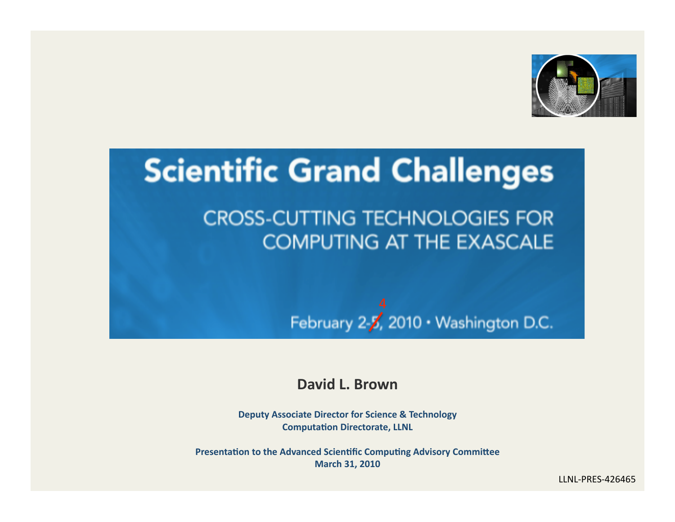

# **Scientific Grand Challenges**

#### **CROSS-CUTTING TECHNOLOGIES FOR COMPUTING AT THE EXASCALE**

February 2- $\chi^4$ , 2010 · Washington D.C.

**David L. Brown** 

**Deputy Associate Director for Science & Technology Computation Directorate, LLNL** 

**Presentation to the Advanced Scientific Computing Advisory Committee March 31, 2010** 

LLNL‐PRES‐426465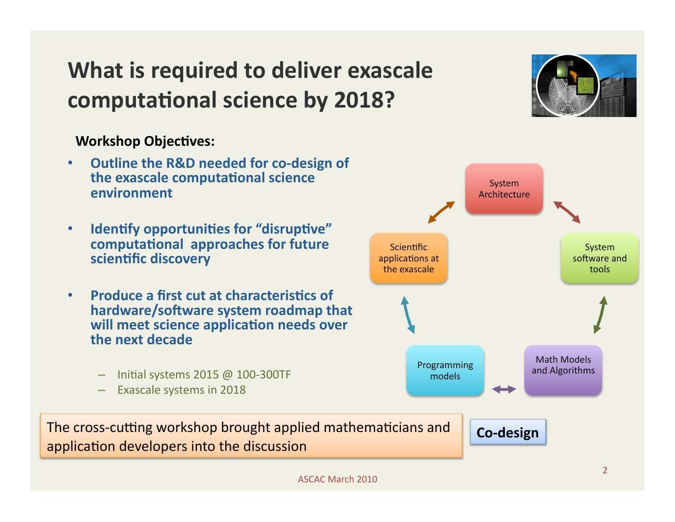### **What is required to deliver exascale** computational science by 2018?

#### **Workshop Objectives:**

- **Outline the R&D needed for co‐design of the exascale computational science environment**
- **Identify opportunities for "disruptive"** computational approaches for future **scien?fic discovery**
- **Produce a first cut at characteristics of** hardware/software system roadmap that **will meet science application needs over the next decade** 
	- Initial systems 2015 @ 100-300TF
	- Exascale systems in 2018

The cross-cutting workshop brought applied mathematicians and **Co-design** application developers into the discussion



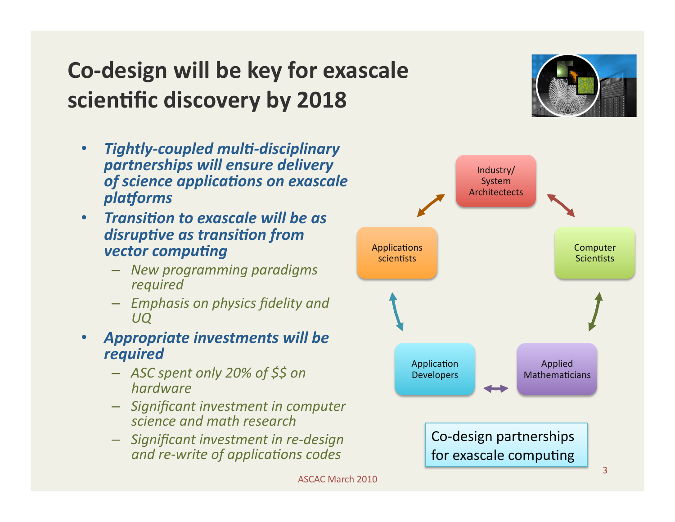# **Co‐design will be key for exascale scientific discovery by 2018**

- *Tightly‐coupled mul1‐disciplinary partnerships will ensure delivery*  of science applications on exascale  $platforms$
- *Transition to exascale will be as* **disruptive as transition from** *vector computing* 
	- *New programming paradigms required*
	- *Emphasis on physics fidelity and UQ*

#### • *Appropriate investments will be required*

- *ASC spent only 20% of \$\$ on hardware*
- *Significant investment in computer science and math research*
- *Significant investment in re‐design and re-write of applications codes*

ASCAC March 2010

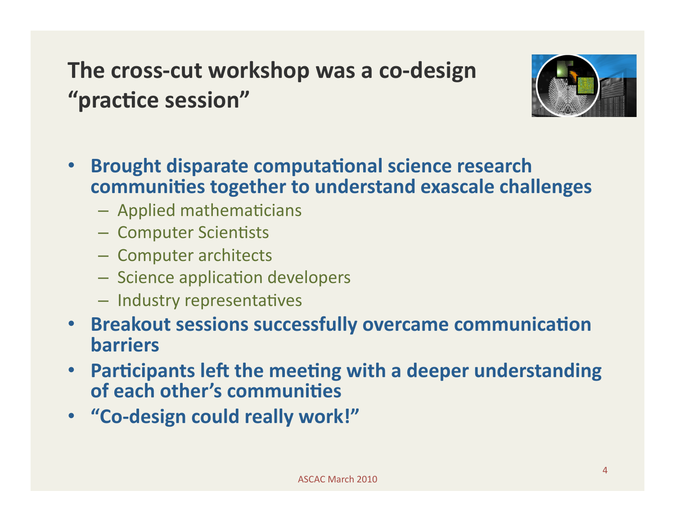### **The cross‐cut workshop was a co‐design**  "practice session"



- **Brought disparate computational science research communities together to understand exascale challenges** 
	- $-$  Applied mathematicians
	- Computer Scientists
	- Computer architects
	- Science application developers
	- Industry representatives
- **Breakout sessions successfully overcame communication barriers**
- Participants left the meeting with a deeper understanding **of each other's communities**
- **"Co‐design could really work!"**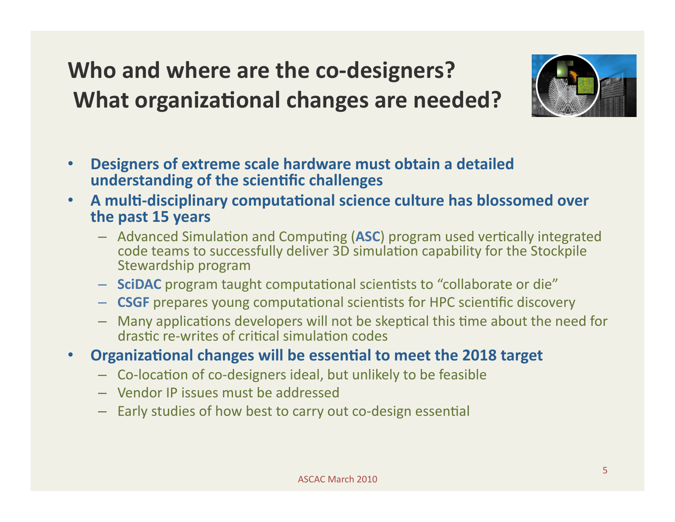### **Who and where are the co‐designers? What organizational changes are needed?**



- **Designers of extreme scale hardware must obtain a detailed understanding of the scientific challenges**
- A multi-disciplinary computational science culture has blossomed over **the past 15 years** 
	- Advanced Simulation and Computing (ASC) program used vertically integrated code teams to successfully deliver 3D simulation capability for the Stockpile Stewardship program
	- $-$  **SciDAC** program taught computational scientists to "collaborate or die"
	- $-$  **CSGF** prepares young computational scientists for HPC scientific discovery
	- $-$  Many applications developers will not be skeptical this time about the need for drastic re-writes of critical simulation codes
- **Organizational changes will be essential to meet the 2018 target** 
	- Co-location of co-designers ideal, but unlikely to be feasible
	- Vendor IP issues must be addressed
	- Early studies of how best to carry out co-design essential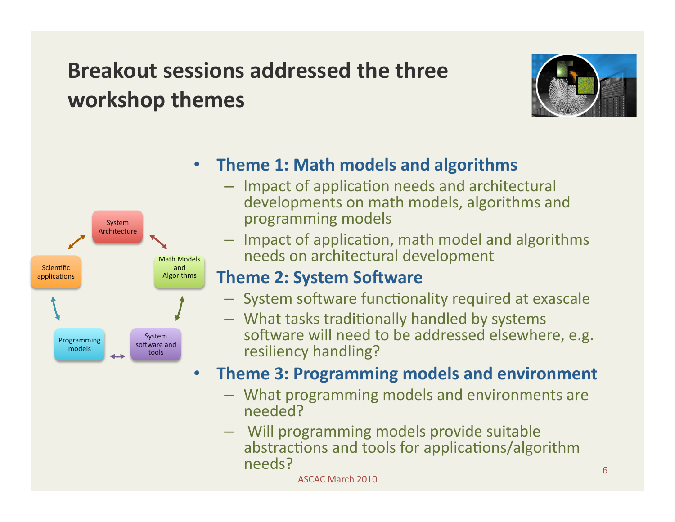#### **Breakout sessions addressed the three workshop themes**





- **Theme 1: Math models and algorithms** 
	- $-$  Impact of application needs and architectural developments on math models, algorithms and programming models
	- $-$  Impact of application, math model and algorithms needs on architectural development

#### **Theme 2: System Software**

- System software functionality required at exascale
- What tasks traditionally handled by systems software will need to be addressed elsewhere, e.g. resiliency handling?

#### • **Theme 3: Programming models and environment**

- What programming models and environments are needed?
- Will programming models provide suitable abstractions and tools for applications/algorithm needs? <sup>6</sup>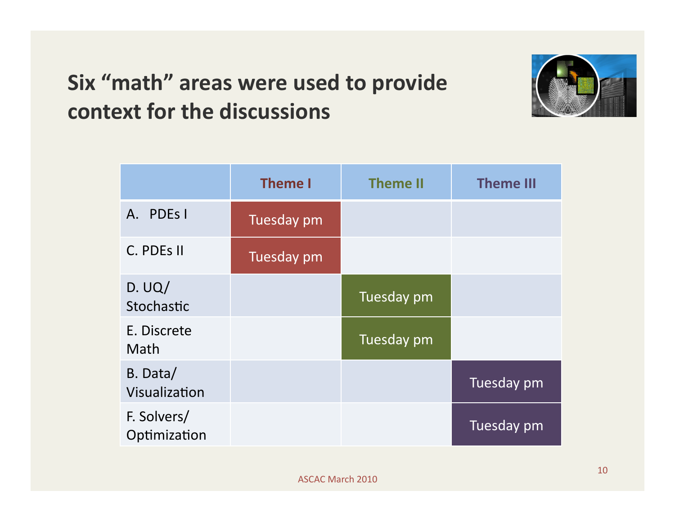#### **Six "math" areas were used to provide context for the discussions**



|                             | <b>Theme I</b> | <b>Theme II</b> | <b>Theme III</b> |
|-----------------------------|----------------|-----------------|------------------|
| A. PDEs I                   | Tuesday pm     |                 |                  |
| C. PDEs II                  | Tuesday pm     |                 |                  |
| D. UQ/<br>Stochastic        |                | Tuesday pm      |                  |
| E. Discrete<br>Math         |                | Tuesday pm      |                  |
| B. Data/<br>Visualization   |                |                 | Tuesday pm       |
| F. Solvers/<br>Optimization |                |                 | Tuesday pm       |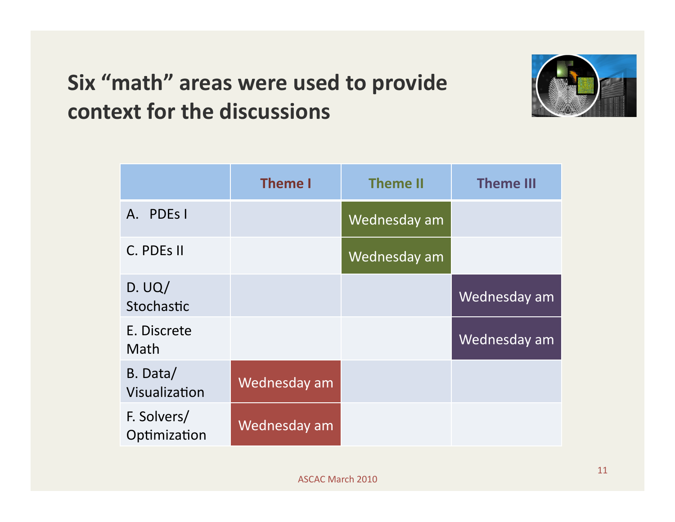#### **Six "math" areas were used to provide context for the discussions**



|                             | <b>Theme I</b> | <b>Theme II</b> | <b>Theme III</b> |
|-----------------------------|----------------|-----------------|------------------|
| PDE <sub>s</sub> I<br>A.    |                | Wednesday am    |                  |
| C. PDES II                  |                | Wednesday am    |                  |
| D. UQ/<br>Stochastic        |                |                 | Wednesday am     |
| E. Discrete<br>Math         |                |                 | Wednesday am     |
| B. Data/<br>Visualization   | Wednesday am   |                 |                  |
| F. Solvers/<br>Optimization | Wednesday am   |                 |                  |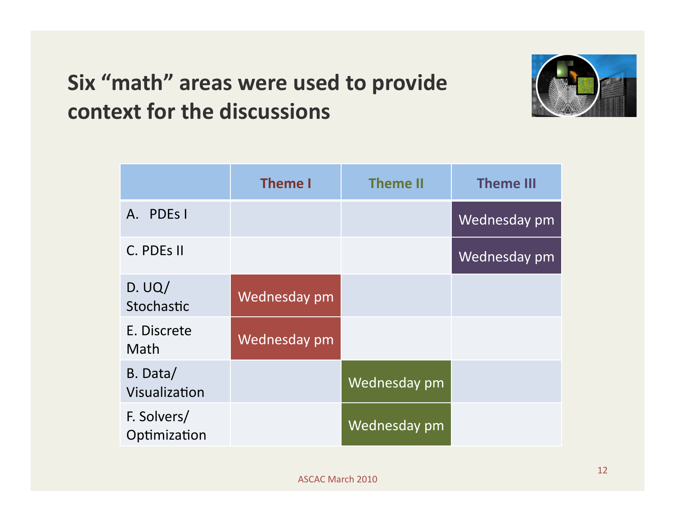#### **Six "math" areas were used to provide context for the discussions**



|                             | <b>Theme I</b> | <b>Theme II</b> | <b>Theme III</b> |
|-----------------------------|----------------|-----------------|------------------|
| PDE <sub>s</sub> I<br>A.    |                |                 | Wednesday pm     |
| C. PDES II                  |                |                 | Wednesday pm     |
| D. UQ/<br>Stochastic        | Wednesday pm   |                 |                  |
| E. Discrete<br><b>Math</b>  | Wednesday pm   |                 |                  |
| B. Data/<br>Visualization   |                | Wednesday pm    |                  |
| F. Solvers/<br>Optimization |                | Wednesday pm    |                  |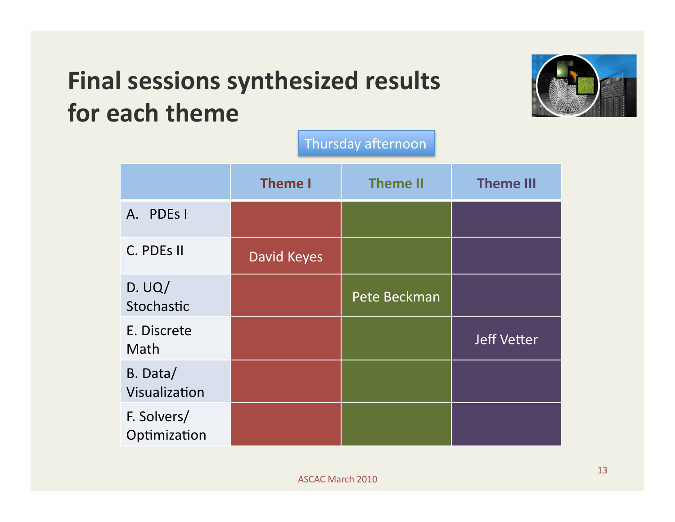# **Final sessions synthesized results for each theme**



|                             | <b>Theme I</b> | <b>Theme II</b> | <b>Theme III</b>   |  |  |  |
|-----------------------------|----------------|-----------------|--------------------|--|--|--|
| A. PDEs I                   |                |                 |                    |  |  |  |
| C. PDEs II                  | David Keyes    |                 |                    |  |  |  |
| D. UQ/<br>Stochastic        |                | Pete Beckman    |                    |  |  |  |
| E. Discrete<br>Math         |                |                 | <b>Jeff Vetter</b> |  |  |  |
| B. Data/<br>Visualization   |                |                 |                    |  |  |  |
| F. Solvers/<br>Optimization |                |                 |                    |  |  |  |

Thursday afternoon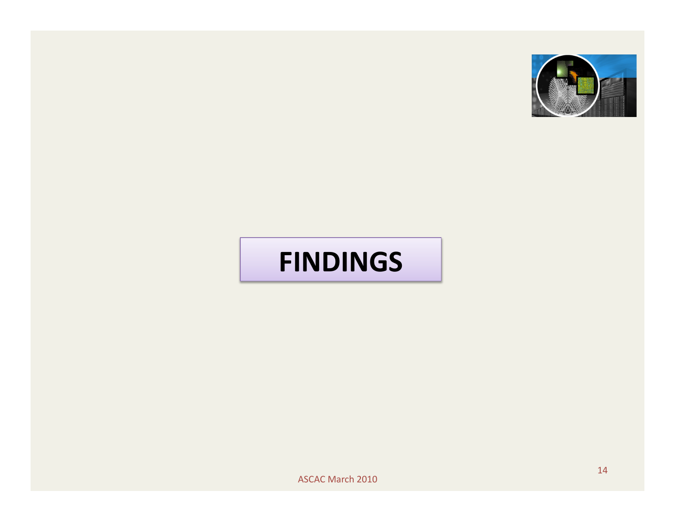

# **FINDINGS**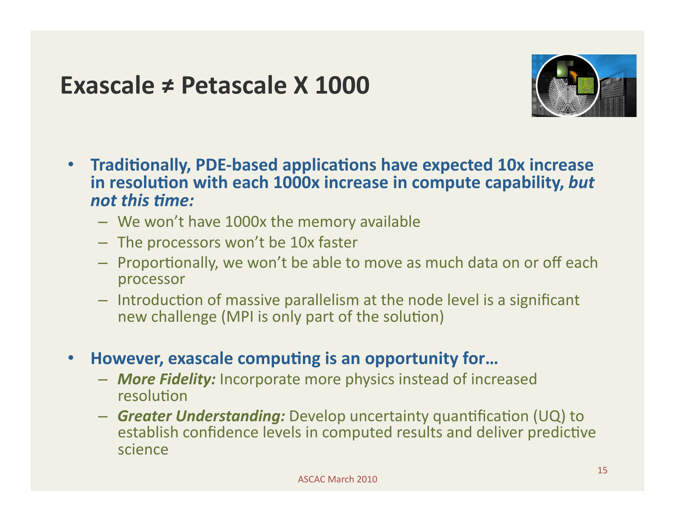#### **Exascale ≠ Petascale X 1000**



- **Traditionally, PDE-based applications have expected 10x increase** in resolution with each 1000x increase in compute capability, but *not this 1me:*
	- We won't have 1000x the memory available
	- The processors won't be 10x faster
	- $-$  Proportionally, we won't be able to move as much data on or off each processor
	- $-$  Introduction of massive parallelism at the node level is a significant new challenge (MPI is only part of the solution)
- However, exascale computing is an opportunity for...
	- *More Fidelity:* Incorporate more physics instead of increased resolution
	- $-$  **Greater Understanding:** Develop uncertainty quantification (UQ) to establish confidence levels in computed results and deliver predictive science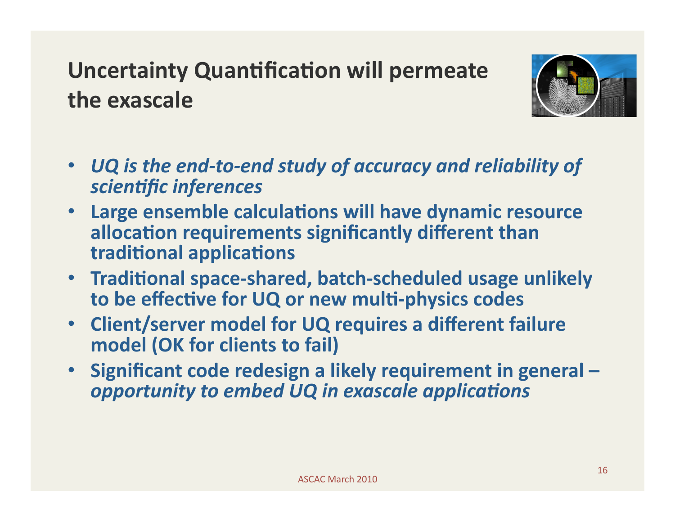### **Uncertainty Quantification will permeate the exascale**



- *UQ is the end‐to‐end study of accuracy and reliability of scien1fic inferences*
- **Large ensemble calculations will have dynamic resource allocation requirements significantly different than traditional applications**
- **Traditional space-shared, batch-scheduled usage unlikely** to be effective for UQ or new multi-physics codes
- **Client/server model for UQ requires a different failure model (OK for clients to fail)**
- **Significant code redesign a likely requirement in general opportunity to embed UQ in exascale applications**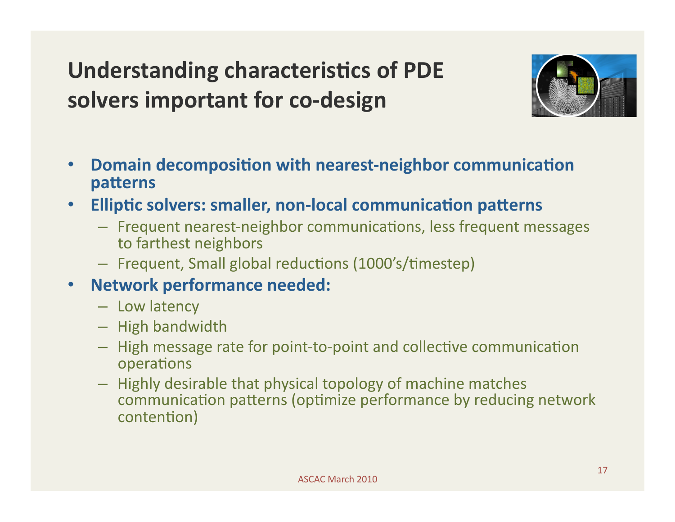# **Understanding characteristics of PDE solvers important for co‐design**



- Domain decomposition with nearest-neighbor communication **patterns**
- **Elliptic solvers: smaller, non-local communication patterns** 
	- Frequent nearest-neighbor communications, less frequent messages to farthest neighbors
	- Frequent, Small global reductions (1000's/timestep)
- **Network performance needed:** 
	- Low latency
	- High bandwidth
	- High message rate for point-to-point and collective communication operations
	- Highly desirable that physical topology of machine matches communication patterns (optimize performance by reducing network contention)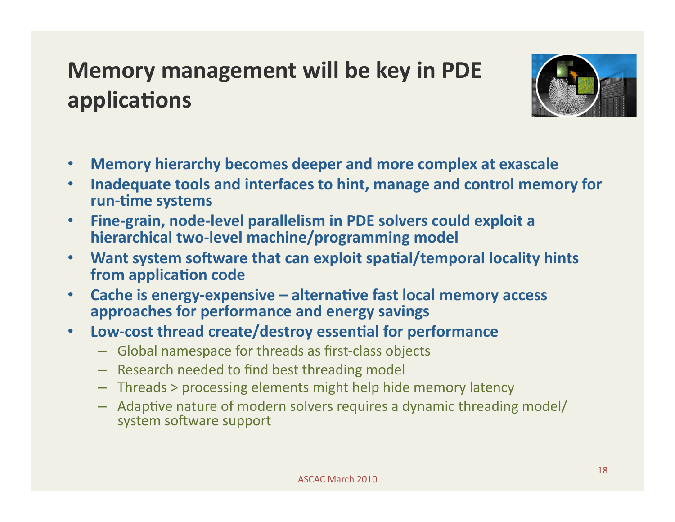### **Memory management will be key in PDE applications**



- **Memory hierarchy becomes deeper and more complex at exascale**
- **Inadequate tools and interfaces to hint, manage and control memory for**  run-time systems
- **Fine‐grain, node‐level parallelism in PDE solvers could exploit a hierarchical two‐level machine/programming model**
- Want system software that can exploit spatial/temporal locality hints from application code
- Cache is energy-expensive alternative fast local memory access **approaches for performance and energy savings**
- **Low-cost thread create/destroy essential for performance** 
	- Global namespace for threads as first‐class objects
	- Research needed to find best threading model
	- Threads > processing elements might help hide memory latency
	- Adaptive nature of modern solvers requires a dynamic threading model/ system software support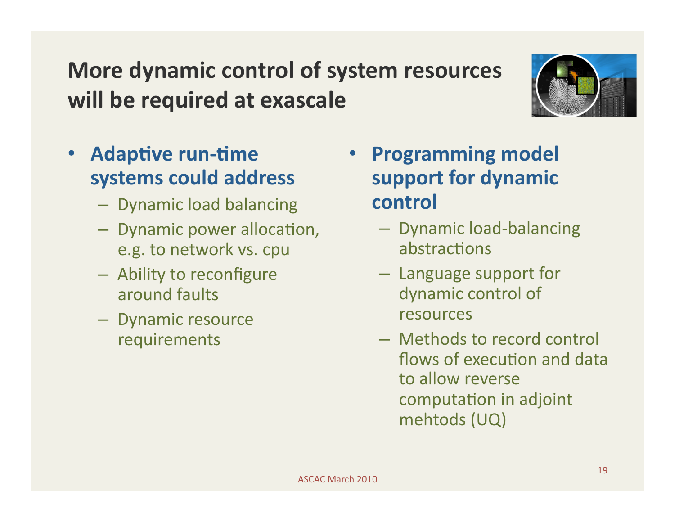## **More dynamic control of system resources will be required at exascale**



- **Adaptive run-time systems could address** 
	- Dynamic load balancing
	- Dynamic power allocation, e.g. to network vs. cpu
	- Ability to reconfigure around faults
	- Dynamic resource requirements
- **Programming model support for dynamic control** 
	- Dynamic load‐balancing abstractions
	- Language support for dynamic control of resources
	- Methods to record control flows of execution and data to allow reverse computation in adjoint mehtods (UQ)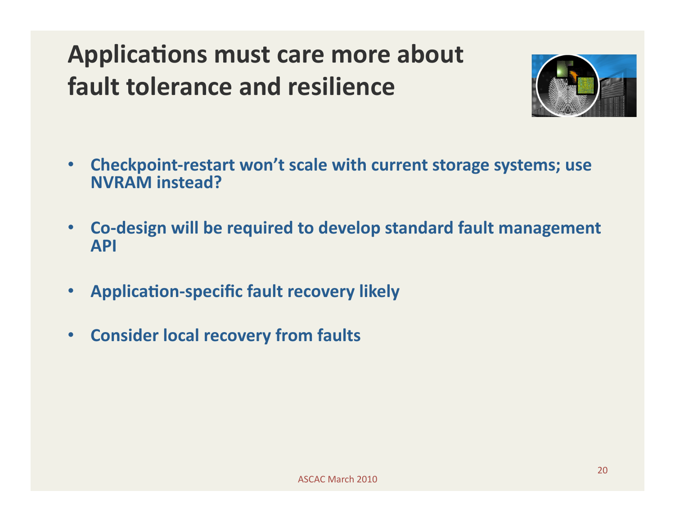# **Applications must care more about fault tolerance and resilience**



- **Checkpoint‐restart won't scale with current storage systems; use NVRAM instead?**
- **Co‐design will be required to develop standard fault management API**
- **Application-specific fault recovery likely**
- **Consider local recovery from faults**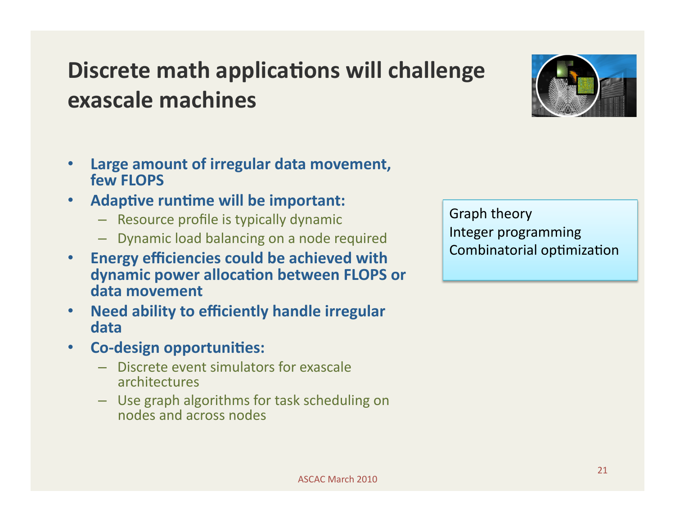### **Discrete math applications will challenge exascale machines**



- **Large amount of irregular data movement, few FLOPS**
- Adaptive runtime will be important:
	- Resource profile is typically dynamic
	- Dynamic load balancing on a node required
- **Energy efficiencies could be achieved with**  dynamic power allocation between FLOPS or **data movement**
- **Need ability to efficiently handle irregular data**
- **Co-design opportunities:** 
	- Discrete event simulators for exascale architectures
	- Use graph algorithms for task scheduling on nodes and across nodes

Graph theory Integer programming Combinatorial optimization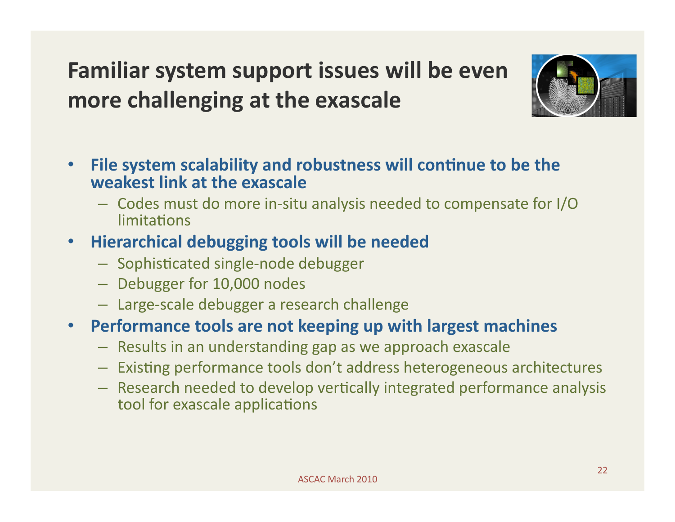# **Familiar system support issues will be even more challenging at the exascale**



- **File system scalability and robustness will continue to be the weakest link at the exascale**
	- Codes must do more in‐situ analysis needed to compensate for I/O limitations

#### • **Hierarchical debugging tools will be needed**

- Sophisticated single-node debugger
- Debugger for 10,000 nodes
- Large‐scale debugger a research challenge

#### • **Performance tools are not keeping up with largest machines**

- Results in an understanding gap as we approach exascale
- Existing performance tools don't address heterogeneous architectures
- $-$  Research needed to develop vertically integrated performance analysis tool for exascale applications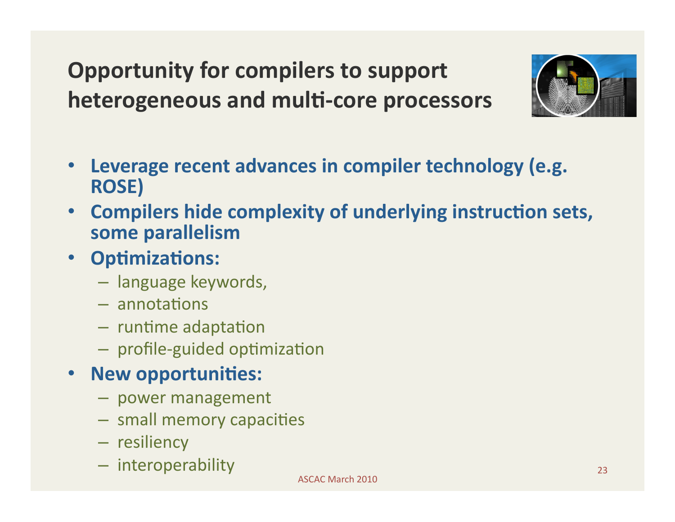# **Opportunity for compilers to support**  heterogeneous and multi-core processors



- **Leverage recent advances in compiler technology (e.g. ROSE)**
- Compilers hide complexity of underlying instruction sets, **some parallelism**
- **Optimizations:** 
	- language keywords,
	- $-$  annotations
	- $-$  runtime adaptation
	- profile-guided optimization

#### • New opportunities:

- power management
- small memory capacities
- resiliency
- interoperability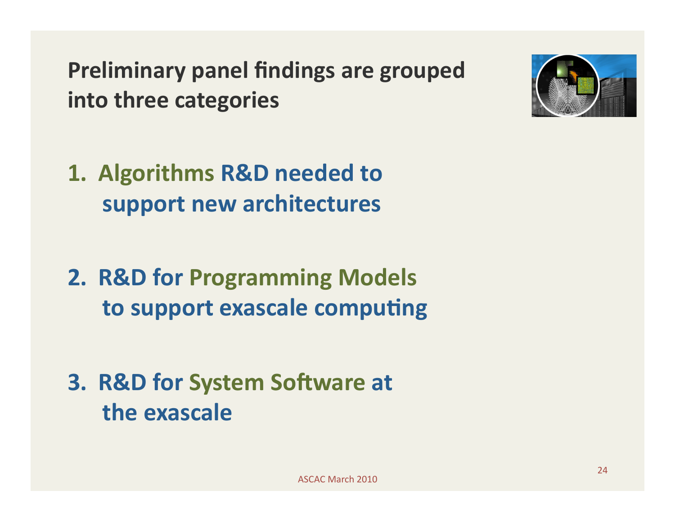**Preliminary panel findings are grouped into three categories** 



- **2. R&D for Programming Models to support exascale computing**
- **3. R&D for System Software at the exascale**

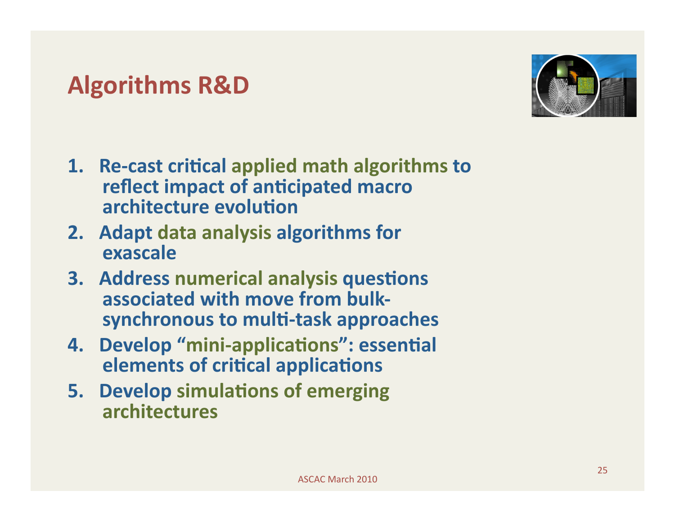#### **Algorithms R&D**

- 1. Re-cast critical applied math algorithms to **reflect impact of anticipated macro architecture evolution**
- **2. Adapt data analysis algorithms for exascale**
- **3. Address numerical analysis questions associated with move from bulk‐** synchronous to multi-task approaches
- **4. Develop "mini-applications": essential elements of critical applications**
- **5. Develop simulations of emerging architectures**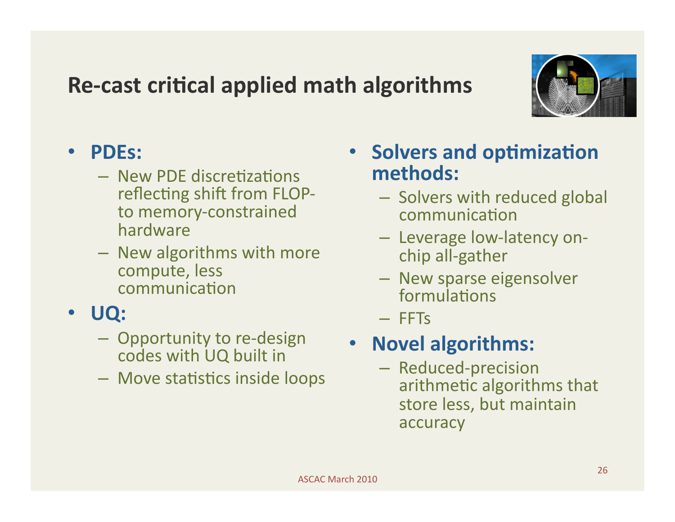#### **Re-cast critical applied math algorithms**



#### • **PDEs:**

- New PDE discretizations reflecting shift from FLOPto memory‐constrained hardware
- New algorithms with more compute, less communication

#### • **UQ:**

- Opportunity to re‐design codes with UQ built in
- Move statistics inside loops
- **Solvers and optimization methods:** 
	- Solvers with reduced global communication
	- Leverage low‐latency on‐ chip all‐gather
	- New sparse eigensolver formulations
	- FFTs

#### • **Novel algorithms:**

– Reduced‐precision arithmetic algorithms that store less, but maintain accuracy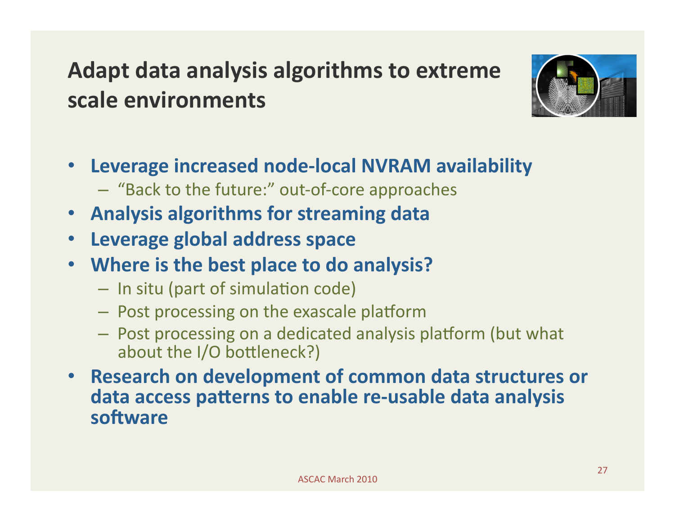### **Adapt data analysis algorithms to extreme scale environments**



- **Leverage increased node‐local NVRAM availability** 
	- "Back to the future:" out‐of‐core approaches
- **Analysis algorithms for streaming data**
- **Leverage global address space**
- **Where is the best place to do analysis?** 
	- $-$  In situ (part of simulation code)
	- $-$  Post processing on the exascale platform
	- Post processing on a dedicated analysis platform (but what about the I/O bottleneck?)
- **Research on development of common data structures or**  data access patterns to enable re-usable data analysis software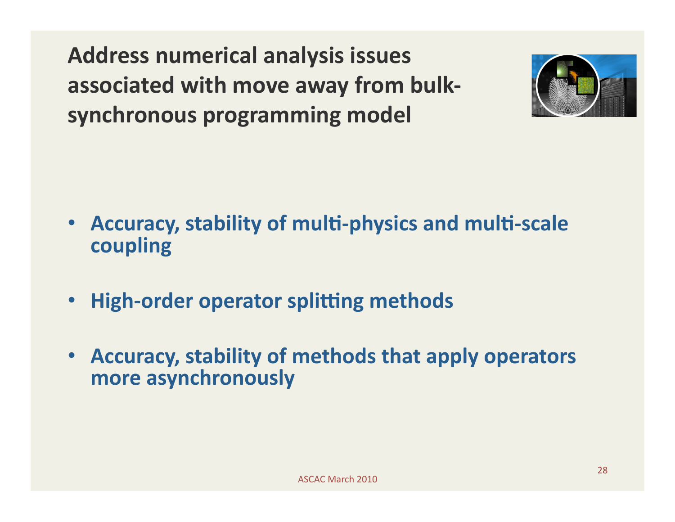**Address numerical analysis issues associated with move away from bulk‐ synchronous programming model** 



- **Accuracy, stability of multi-physics and multi-scale coupling**
- High-order operator splitting methods
- **Accuracy, stability of methods that apply operators more asynchronously**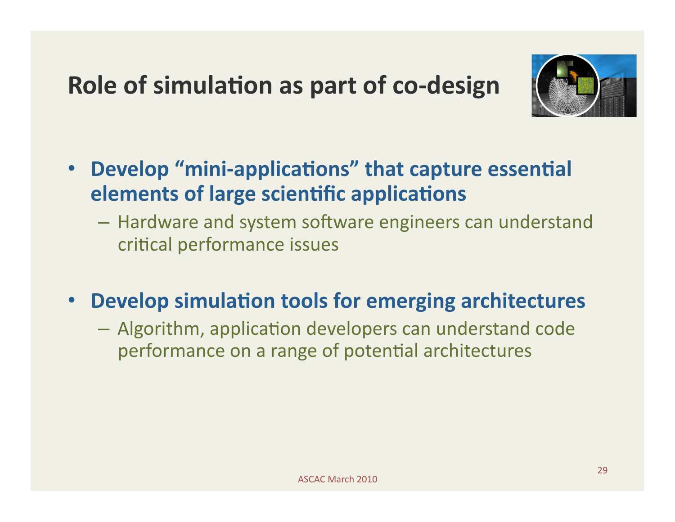### **Role of simulation as part of co-design**



- **Develop "mini-applications" that capture essential elements of large scientific applications** 
	- Hardware and system software engineers can understand critical performance issues
- **Develop simulation tools for emerging architectures** 
	- $-$  Algorithm, application developers can understand code performance on a range of potential architectures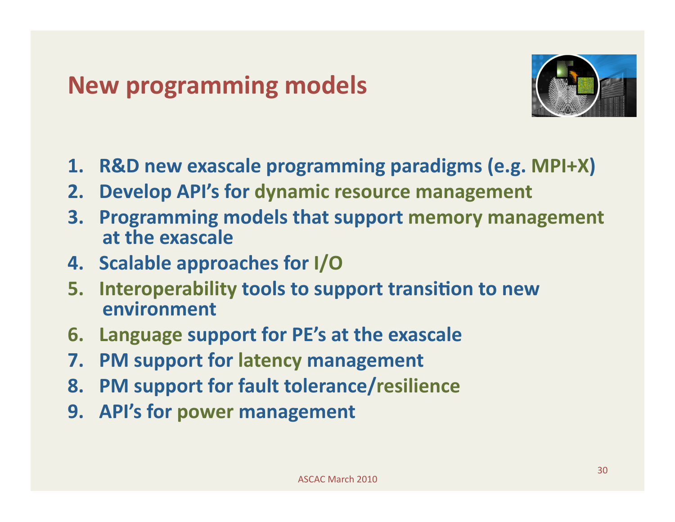### **New programming models**



- **1. R&D new exascale programming paradigms (e.g. MPI+X)**
- **2. Develop API's for dynamic resource management**
- **3. Programming models that support memory management at the exascale**
- **4. Scalable approaches for I/O**
- **5.** Interoperability tools to support transition to new **environment**
- **6. Language support for PE's at the exascale**
- **7. PM support for latency management**
- **8. PM support for fault tolerance/resilience**
- **9. API's for power management**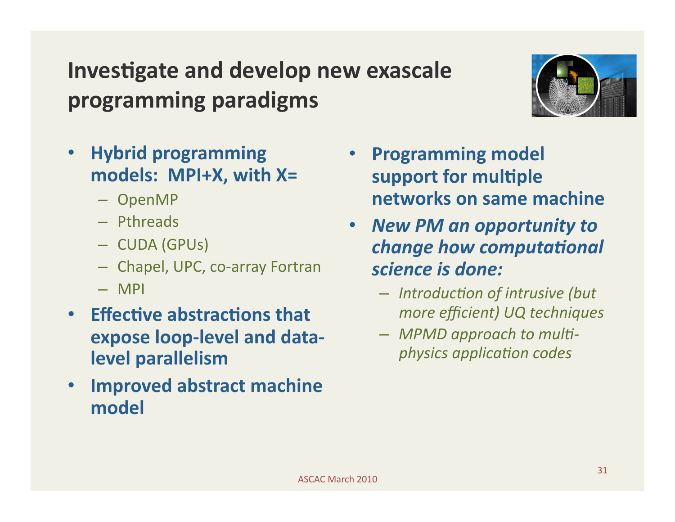### **Investigate and develop new exascale programming paradigms**



- **Hybrid programming models: MPI+X, with X=** 
	- OpenMP
	- Pthreads
	- CUDA (GPUs)
	- Chapel, UPC, co‐array Fortran
	- MPI
- **Effective abstractions that expose loop‐level and data‐ level parallelism**
- **Improved abstract machine model**
- **Programming model**  support for multiple **networks on same machine**
- *New PM an opportunity to*  **change how computational** *science is done:* 
	- $-$  *Introduction of intrusive (but more efficient) UQ techniques*
	- $-$  MPMD approach to multi*physics application codes*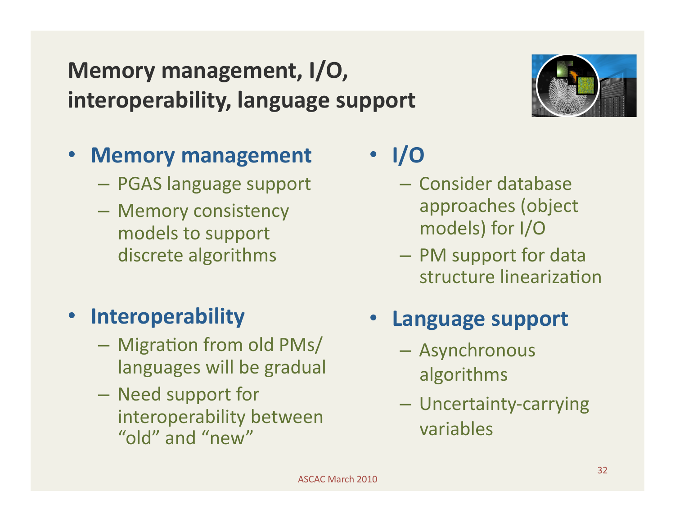# • **Interoperability**

 $-$  Migration from old PMs/ languages will be gradual

**Memory management, I/O,** 

• **Memory management** 

– PGAS language support

– Memory consistency

models to support

discrete algorithms

**interoperability, language support** 

– Need support for interoperability between "old" and "new"

## • **I/O**

- Consider database approaches (object models) for I/O
- PM support for data structure linearization

#### • **Language support**

- Asynchronous algorithms
- Uncertainty‐carrying variables

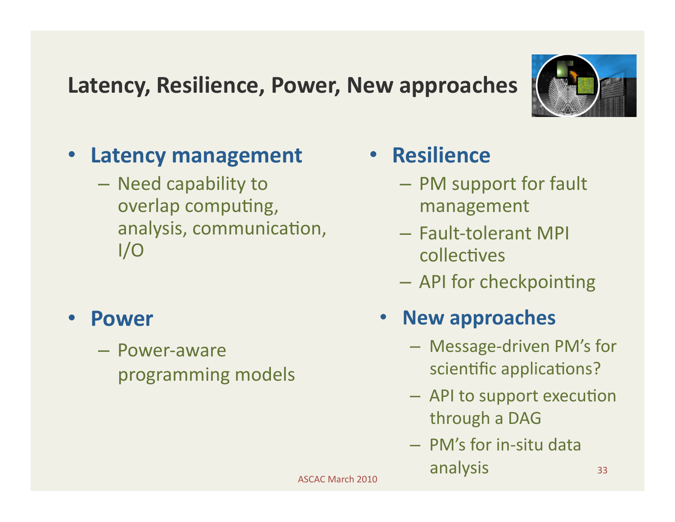#### **Latency, Resilience, Power, New approaches**



- **Latency management** 
	- Need capability to overlap computing, analysis, communication,  $I/O$
- **Power** 
	- Power‐aware programming models
- **Resilience** 
	- PM support for fault management
	- Fault‐tolerant MPI collectives
	- $-$  API for checkpointing

#### • **New approaches**

- Message‐driven PM's for scientific applications?
- API to support execution through a DAG
- PM's for in‐situ data analysis

ASCAC March 2010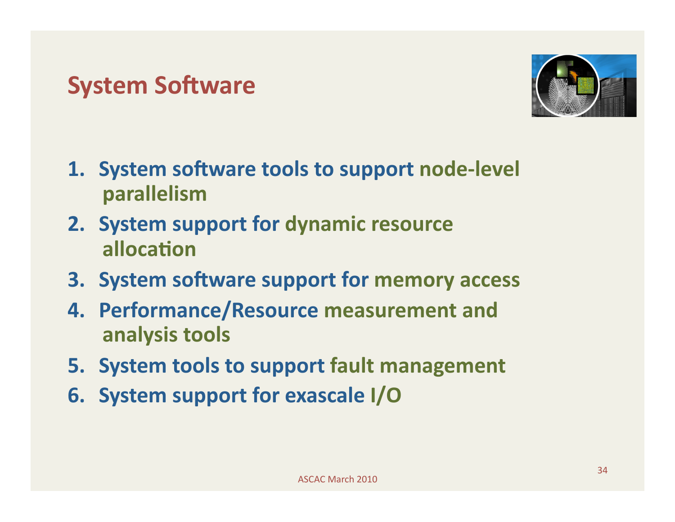#### **System Software**



- **1. System software tools to support node-level parallelism**
- **2. System support for dynamic resource allocation**
- **3. System software support for memory access**
- **4. Performance/Resource measurement and analysis tools**
- **5. System tools to support fault management**
- **6. System support for exascale I/O**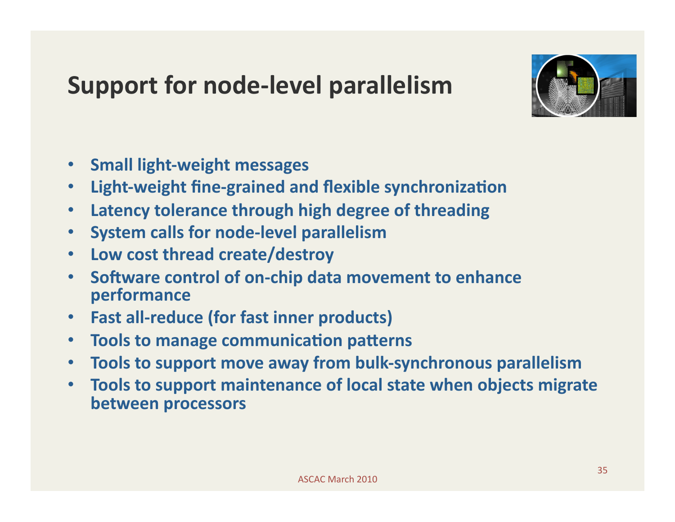### **Support for node‐level parallelism**



- **Small light‐weight messages**
- **Light-weight fine-grained and flexible synchronization**
- **Latency tolerance through high degree of threading**
- **System calls for node‐level parallelism**
- **Low cost thread create/destroy**
- Software control of on-chip data movement to enhance **performance**
- **Fast all‐reduce (for fast inner products)**
- **Tools to manage communication patterns**
- **Tools to support move away from bulk‐synchronous parallelism**
- **Tools to support maintenance of local state when objects migrate between processors**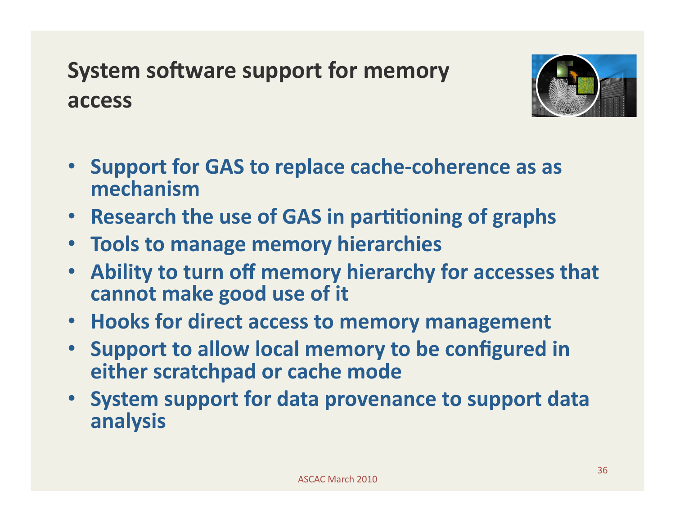## **System software support for memory access**



- **Support for GAS to replace cache‐coherence as as mechanism**
- **Research the use of GAS in partitioning of graphs**
- **Tools to manage memory hierarchies**
- **Ability to turn off memory hierarchy for accesses that cannot make good use of it**
- **Hooks for direct access to memory management**
- **Support to allow local memory to be configured in either scratchpad or cache mode**
- **System support for data provenance to support data analysis**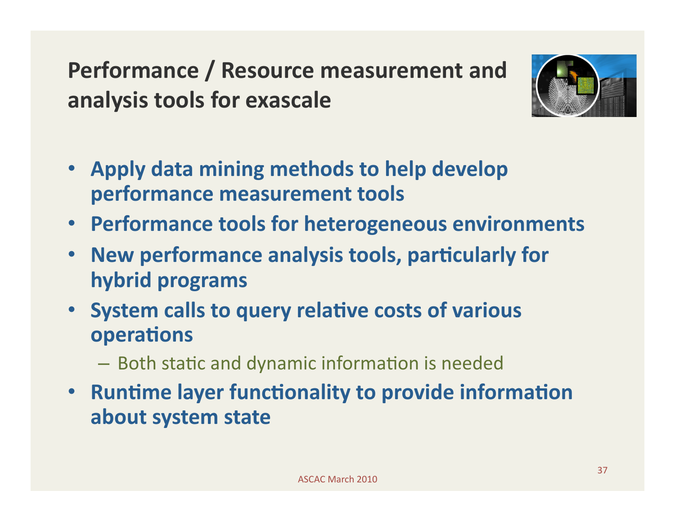**Performance / Resource measurement and analysis tools for exascale** 



- **Apply data mining methods to help develop performance measurement tools**
- **Performance tools for heterogeneous environments**
- New performance analysis tools, particularly for **hybrid programs**
- **System calls to query relative costs of various operations** 
	- Both static and dynamic information is needed
- **Runtime layer functionality to provide information about system state**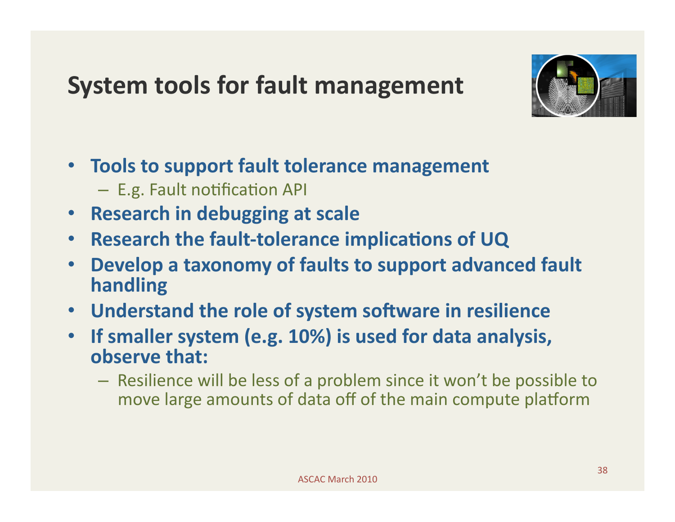## **System tools for fault management**



- **Tools to support fault tolerance management**   $-$  E.g. Fault notification API
- **Research in debugging at scale**
- **Research the fault-tolerance implications of UQ**
- **Develop a taxonomy of faults to support advanced fault handling**
- Understand the role of system software in resilience
- **If smaller system (e.g. 10%) is used for data analysis, observe that:** 
	- Resilience will be less of a problem since it won't be possible to move large amounts of data off of the main compute platform